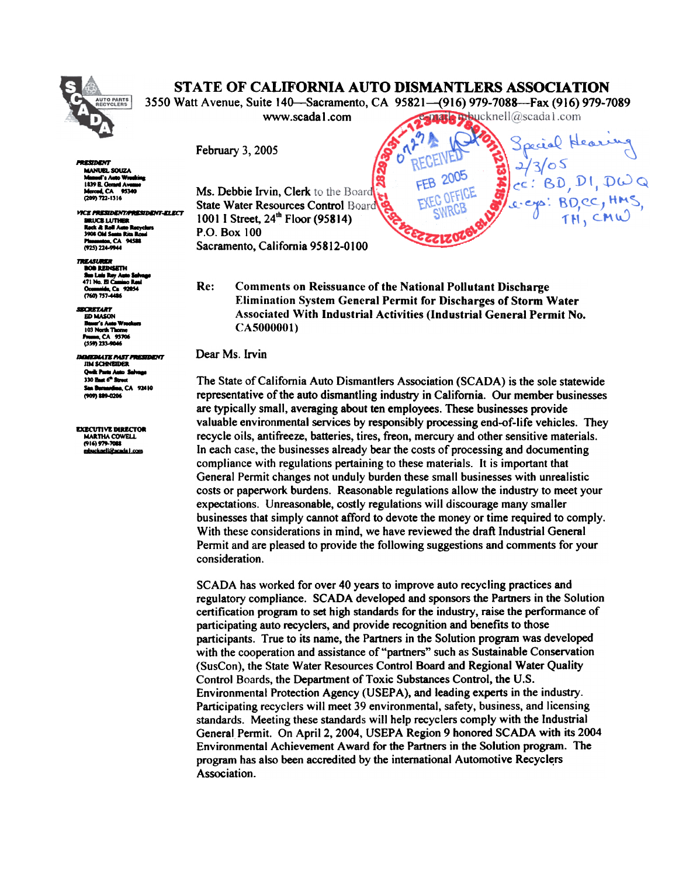

1U9B.o...dA-

PERMININT

## STATE OF CALIFORNIA AUTO DISMANTLERS ASSOCIATION

3550 Watt Avenue, Suite 140—Sacramento, CA 95821—(916) 979-7088—Fax (916) 979-7089

www.scadal.com **www.scadal.com** 

MANURI SOUZA Marced, CA 95340 (209)721-1316 VICE PRESIDENT/PRESIDENT-ELECT

**MALICE LUTHER** n<br>Anch: Al Roll Auto R<br>3908 Old Santa Rita Santa Rita Ro<br>a, CA 94588 1925)224-9M4

**TREASURER BOB REINSETH<br>Sua Luis Ray Auto Salv<br>471 No. El Camino Rasi** Ocumnide, Ca 92054

**SECRETARY ED MASON Baser's Auto Wreel<br>103 North Thorne<br>Frame, CA 95706** (559) 233-9046

**RDIATE PAST PRESIDENT JIM SCHNEIDER** Quilk Parts Auto Se 330 East 6<sup>th</sup> Stre **18, CA 92410** (909) 889-0206

**EXECUTIVE DIRECTOR<br>MARTHA COWELL** (916) 979-7088<br>mbucknell@acada i\_com

Ms. Debbie Irvin, Clerk to the Board State Water Resources Control Board 1001 I Street, 24<sup>th</sup> Floor (95814) P.O. Box 100 Sacramento, California 95812-0100

Re: Comments on Reissuance of the National Pollutant Discharge Elimination System General Permit for Discharges of Storm Water Associated With Industrial Activities (Industrial General Permit No. CA5000001)

Dear Ms. Irvin

The State of California Auto Dismantlers Association (SCADA) is the sole statewide representative of the auto dismantling industry in California. Our member businesses are typically small, averaging about ten employees. These businesses provide valuable environmental services by responsibly processing end-of-life vehicles. They recycle oils, antifreeze, batteries, tires, freon, mercury and other sensitive materials. In each case, the businesses already bear the costs of processing and documenting compliance with regulations pertaining to these materials. It is important that General Permit changes not unduly burden these small businesses with unrealistic costs or paperwork burdens. Reasonable regulations allow the industry to meet your expectations. Unreasonable, costly regulations will discourage many smaller businesses that simply cannot afford to devote the money or time required to comply. With these considerations in mind, we have reviewed the draft Industrial General Permit and are pleased to provide the following suggestions and comments for your consideration.

SCADA has worked for over 40 years to improve auto recycling practices and regulatory compliance. SCADA developed and sponsors the Partners in the Solution certification program to set high standards for the industry, raise the performance of participating auto recyclers, and provide recognition and benefits to those participants. True to its name, the Partners in the Solution program was developed with the cooperation and assistance of "partners" such as Sustainable Conservation (SusCon), the State Water Resources Control Board and Regional Water Quality Control Boards, the Department of Toxic Substances Control, the U.S. Environmental Protection Agency (USEPA), and leading experts in the industry. Participating recyclers will meet 39 environmental, safety, business, and licensing standards. Meeting these standards will help recyclers comply with the Industrial General Permit. On April 2, 2004, USEPA Region 9 honored SCADA with its 2004 Environmental Achievement Award for the Partners in the Solution program. The program has also been accredited by the international Automotive Recyclers Association.

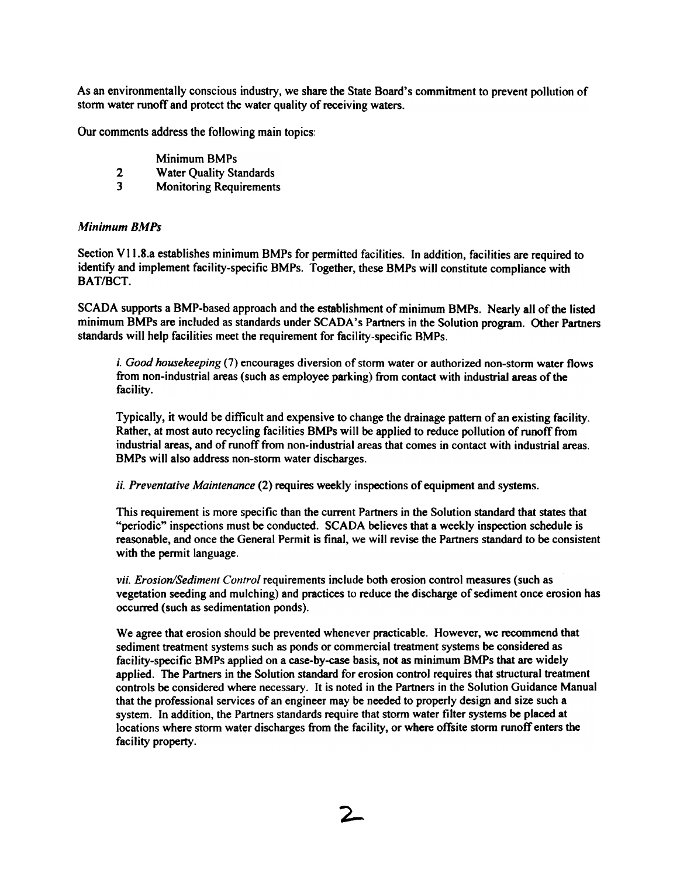As an environmentally conscious industry, we share the State Board's commitment to prevent pollution of storm water runoff and protect the water quality of receiving waters.

Our comments address the following main topics:

- Minimum BMPs
- 2 Water Quality Standards
- 3 Monitoring Requirements

## Minimum BMPs

Section V11.8.a establishes minimum BMPs for permitted facilities. In addition, facilities are required to identify and implement facility-specific BMPs. Together, these BMPs will constitute compliance with BAT/BCT.

SCADA supports a BMP-based approach and the establishment of minimum BMPs. Nearly all of the listed minimum BMPs are included as standards under SCADA's Partners in the Solution program. Other Partners standards will help facilities meet the requirement for facility-specific BMPs.

i. Good housekeeping (7) encourages diversion of storm water or authorized non-storm water flows from non-industrial areas (such as employee parking) from contact with industrial areas of the facility.

Typically, it would be difficult and expensive to change the drainage pattern of an existing facility. industrial areas, and of runoff from non-industrial areas that comes in contact with industrial areas. BMPs will also address non-storm water discharges.

ii. Preventative Maintenance (2) requires weekly inspections of equipment and systems.

This requirement is more specific than the current Partners in the Solution standard that states that "periodic" inspections must be conducted. SCADA believes that a weekly inspection schedule is reasonable, and once the General Permit is final, we will revise the Partners standard to be consistent with the permit language.

vii. Erosion/Sediment Control requirements include both erosion control measures (such as vegetation seeding and mulching) and practices to reduce the discharge of sediment once erosion has occurred (such as sedimentation ponds).

We agree that erosion should be prevented whenever practicable. However, we recommend that sediment treatment systems such as ponds or commercial treatment systems be considered as facility-specific BMPs applied on a case-by-case basis, not as minimum BMPs that are widely applied. The Partners in the Solution standard for erosion control requires that structural treatment controls be considered where necessary. It is noted in the Partners in the Solution Guidance Manual that the professional services of an engineer may be needed to properly design and size such a system. In addition, the Partners standards require that storm water filter systems be placed at locations where storm water discharges from the facility, or where offsite storm runoff enters the facility property.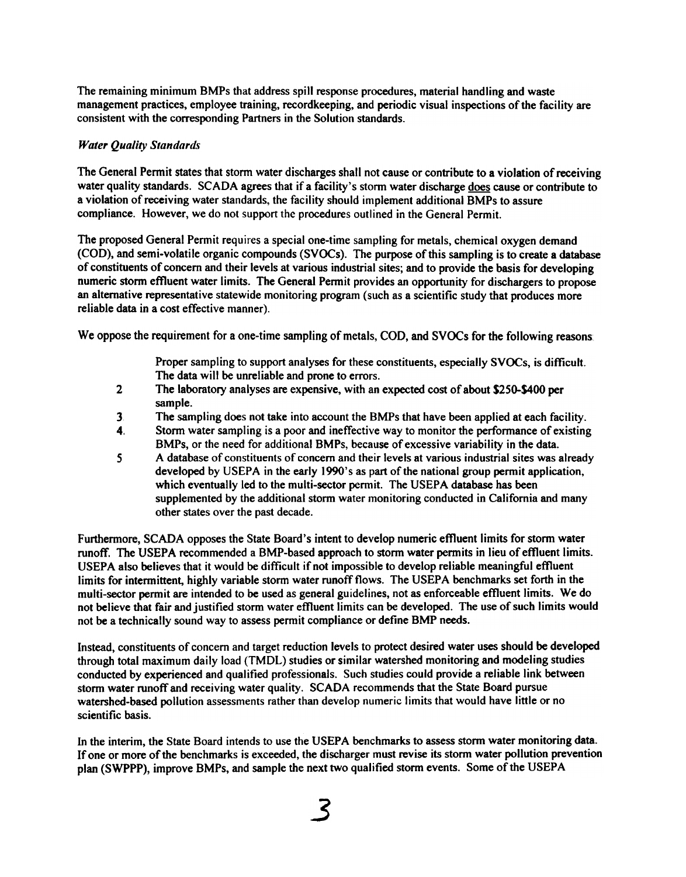The remaining minimum BMPs that address spill response procedures, material handling and waste management practices, employee training, recordkeeping, and periodic visual inspections of the facility are consistent with the corresponding Partners in the Solution standards.

## Water Quality Standards

The General Permit states that storm water discharges shall not cause or contribute to a violation of receiving water quality standards. SCADA agrees that if a facility's storm water discharge does cause or contribute to a violation of receiving water standards, the facility should implement additional BMPs to assure compliance. However, we do not support the procedures outlined in the General Permit.

The proposed General Permit requires a special one-time sampling for metals, chemical oxygen demand (COD), and semi-volatile organic compounds (SVOCs). The purpose of this sampling is to create a database of constituents of concern and their levels at various industrial sites; and to provide the basis for developing numeric storm effluent water limits. The General Permit provides an opportunity for dischargers to propose an alternative representative statewide monitoring program (such as a scientific study that produces more reliable data in a cost effective manner).

We oppose the requirement for a one-time sampling of metals, COD, and SVOCs for the following reasons:

Proper sampling to support analyses for these constituents, especially SVOCs, is difficult. The data will be unreliable and prone to errors.

- 2. The laboratory analyses are expensive, with an expected cost of about \$250-\$400 per sample.
- 3 The sampling does not take into account the BMPs that have been applied at each facility.
- 4. Storm water sampling is a poor and ineffective way to monitor the performance of existing BMPs, or the need for additional BMPs, because of excessive variability in the data.
- 5 A database of constituents of concern and their levels at various industrial sites was already developed by USEPA in the early 1990's as part of the national group permit application, which eventually led to the multi-sector permit. The USEPA database has been supplemented by the additional storm water monitoring conducted in California and many other states over the past decade.

Furthermore, SCADA opposes the State Board's intent to develop numeric effluent limits for storm water runoff. The USEPA recommended a BMP-based approach to storm water permits in lieu of effluent limits. USEPA also believes that it would be difficult if not impossible to develop reliable meaningful effluent limits for intermittent, highly variable storm water runoff flows. The USEPA benchmarks set forth in the multi-sector permit are intended to be used as general guidelines, not as enforceable effluent limits. We do not believe that fair and justified storm water effluent limits can be developed. The use of such limits would not be a technically sound way to assess pennit compliance or define BMP needs.

Instead, constituents of concern and target reduction levels to protect desired water uses should be developed through total maximum daily load (TMDL) studies or similar watershed monitoring and modeling studies conducted by experienced and qualified professionals. Such studies could provide a reliable link between storm water runoff and receiving water quality. SCADA recommends that the State Board pursue watershed-based pollution assessments rather than develop numeric limits that would have little or no scientific basis.

In the interim, the State Board intends to use the USEPA benchmarks to assess storm water monitoring data. If one or more of the benchmarks is exceeded, the discharger must revise its storm water pollution prevention plan (SWPPP), improve BMPs, and sample the next two qualified storm events. Some of the USEPA